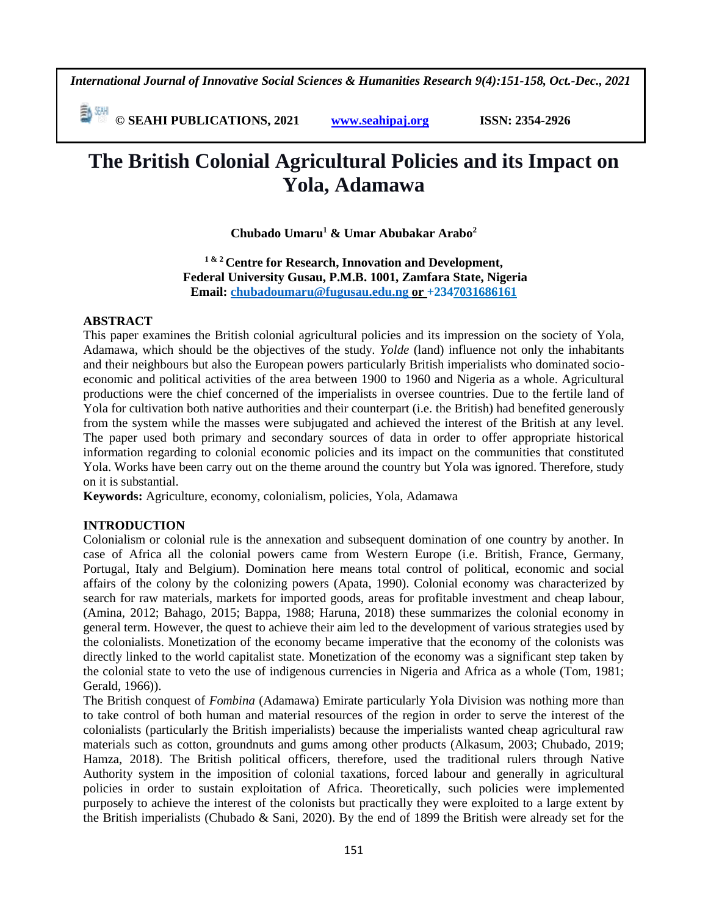*International Journal of Innovative Social Sciences & Humanities Research 9(4):151-158, Oct.-Dec., 2021*

 **© SEAHI PUBLICATIONS, 2021 [www.seahipaj.org](http://www.seahipaj.org/) ISSN: 2354-2926** 

# **The British Colonial Agricultural Policies and its Impact on Yola, Adamawa**

**Chubado Umaru<sup>1</sup> & Umar Abubakar Arabo<sup>2</sup>**

**1 & 2 Centre for Research, Innovation and Development, Federal University Gusau, P.M.B. 1001, Zamfara State, Nigeria Email: [chubadoumaru@fugusau.edu.ng](mailto:chubadoumaru@fugusau.edu.ng) or +2347031686161** 

#### **ABSTRACT**

This paper examines the British colonial agricultural policies and its impression on the society of Yola, Adamawa, which should be the objectives of the study. *Yolde* (land) influence not only the inhabitants and their neighbours but also the European powers particularly British imperialists who dominated socioeconomic and political activities of the area between 1900 to 1960 and Nigeria as a whole. Agricultural productions were the chief concerned of the imperialists in oversee countries. Due to the fertile land of Yola for cultivation both native authorities and their counterpart (i.e. the British) had benefited generously from the system while the masses were subjugated and achieved the interest of the British at any level. The paper used both primary and secondary sources of data in order to offer appropriate historical information regarding to colonial economic policies and its impact on the communities that constituted Yola. Works have been carry out on the theme around the country but Yola was ignored. Therefore, study on it is substantial.

**Keywords:** Agriculture, economy, colonialism, policies, Yola, Adamawa

## **INTRODUCTION**

Colonialism or colonial rule is the annexation and subsequent domination of one country by another. In case of Africa all the colonial powers came from Western Europe (i.e. British, France, Germany, Portugal, Italy and Belgium). Domination here means total control of political, economic and social affairs of the colony by the colonizing powers (Apata, 1990). Colonial economy was characterized by search for raw materials, markets for imported goods, areas for profitable investment and cheap labour, (Amina, 2012; Bahago, 2015; Bappa, 1988; Haruna, 2018) these summarizes the colonial economy in general term. However, the quest to achieve their aim led to the development of various strategies used by the colonialists. Monetization of the economy became imperative that the economy of the colonists was directly linked to the world capitalist state. Monetization of the economy was a significant step taken by the colonial state to veto the use of indigenous currencies in Nigeria and Africa as a whole (Tom, 1981; Gerald, 1966)).

The British conquest of *Fombina* (Adamawa) Emirate particularly Yola Division was nothing more than to take control of both human and material resources of the region in order to serve the interest of the colonialists (particularly the British imperialists) because the imperialists wanted cheap agricultural raw materials such as cotton, groundnuts and gums among other products (Alkasum, 2003; Chubado, 2019; Hamza, 2018). The British political officers, therefore, used the traditional rulers through Native Authority system in the imposition of colonial taxations, forced labour and generally in agricultural policies in order to sustain exploitation of Africa. Theoretically, such policies were implemented purposely to achieve the interest of the colonists but practically they were exploited to a large extent by the British imperialists (Chubado & Sani, 2020). By the end of 1899 the British were already set for the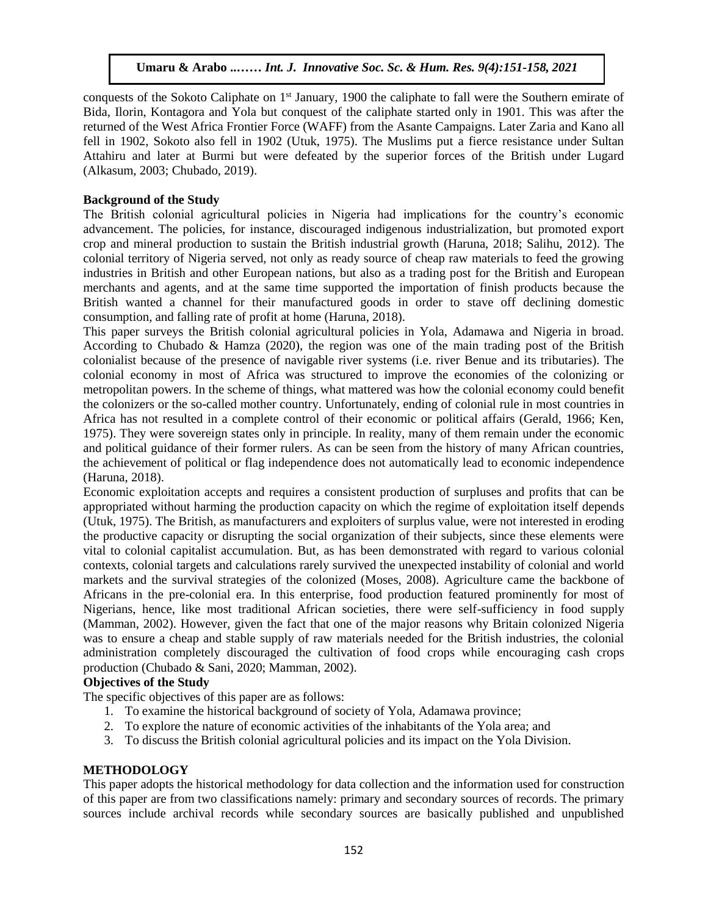conquests of the Sokoto Caliphate on 1<sup>st</sup> January, 1900 the caliphate to fall were the Southern emirate of Bida, Ilorin, Kontagora and Yola but conquest of the caliphate started only in 1901. This was after the returned of the West Africa Frontier Force (WAFF) from the Asante Campaigns. Later Zaria and Kano all fell in 1902, Sokoto also fell in 1902 (Utuk, 1975). The Muslims put a fierce resistance under Sultan Attahiru and later at Burmi but were defeated by the superior forces of the British under Lugard (Alkasum, 2003; Chubado, 2019).

## **Background of the Study**

The British colonial agricultural policies in Nigeria had implications for the country's economic advancement. The policies, for instance, discouraged indigenous industrialization, but promoted export crop and mineral production to sustain the British industrial growth (Haruna, 2018; Salihu, 2012). The colonial territory of Nigeria served, not only as ready source of cheap raw materials to feed the growing industries in British and other European nations, but also as a trading post for the British and European merchants and agents, and at the same time supported the importation of finish products because the British wanted a channel for their manufactured goods in order to stave off declining domestic consumption, and falling rate of profit at home (Haruna, 2018).

This paper surveys the British colonial agricultural policies in Yola, Adamawa and Nigeria in broad. According to Chubado & Hamza (2020), the region was one of the main trading post of the British colonialist because of the presence of navigable river systems (i.e. river Benue and its tributaries). The colonial economy in most of Africa was structured to improve the economies of the colonizing or metropolitan powers. In the scheme of things, what mattered was how the colonial economy could benefit the colonizers or the so-called mother country. Unfortunately, ending of colonial rule in most countries in Africa has not resulted in a complete control of their economic or political affairs (Gerald, 1966; Ken, 1975). They were sovereign states only in principle. In reality, many of them remain under the economic and political guidance of their former rulers. As can be seen from the history of many African countries, the achievement of political or flag independence does not automatically lead to economic independence (Haruna, 2018).

Economic exploitation accepts and requires a consistent production of surpluses and profits that can be appropriated without harming the production capacity on which the regime of exploitation itself depends (Utuk, 1975). The British, as manufacturers and exploiters of surplus value, were not interested in eroding the productive capacity or disrupting the social organization of their subjects, since these elements were vital to colonial capitalist accumulation. But, as has been demonstrated with regard to various colonial contexts, colonial targets and calculations rarely survived the unexpected instability of colonial and world markets and the survival strategies of the colonized (Moses, 2008). Agriculture came the backbone of Africans in the pre-colonial era. In this enterprise, food production featured prominently for most of Nigerians, hence, like most traditional African societies, there were self-sufficiency in food supply (Mamman, 2002). However, given the fact that one of the major reasons why Britain colonized Nigeria was to ensure a cheap and stable supply of raw materials needed for the British industries, the colonial administration completely discouraged the cultivation of food crops while encouraging cash crops production (Chubado & Sani, 2020; Mamman, 2002).

## **Objectives of the Study**

The specific objectives of this paper are as follows:

- 1. To examine the historical background of society of Yola, Adamawa province;
- 2. To explore the nature of economic activities of the inhabitants of the Yola area; and
- 3. To discuss the British colonial agricultural policies and its impact on the Yola Division.

## **METHODOLOGY**

This paper adopts the historical methodology for data collection and the information used for construction of this paper are from two classifications namely: primary and secondary sources of records. The primary sources include archival records while secondary sources are basically published and unpublished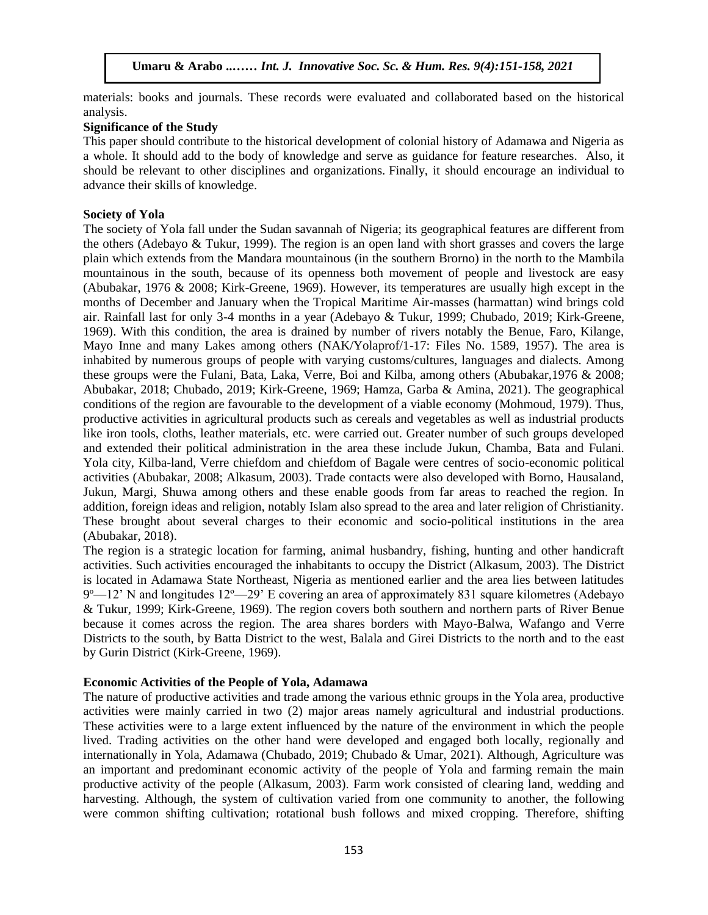materials: books and journals. These records were evaluated and collaborated based on the historical analysis.  $\overline{\text{dis.}}$ 

## **Significance of the Study**

This paper should contribute to the historical development of colonial history of Adamawa and Nigeria as a whole. It should add to the body of knowledge and serve as guidance for feature researches. Also, it should be relevant to other disciplines and organizations. Finally, it should encourage an individual to advance their skills of knowledge.

#### **Society of Yola**

The society of Yola fall under the Sudan savannah of Nigeria; its geographical features are different from the others (Adebayo & Tukur, 1999). The region is an open land with short grasses and covers the large plain which extends from the Mandara mountainous (in the southern Brorno) in the north to the Mambila mountainous in the south, because of its openness both movement of people and livestock are easy (Abubakar, 1976 & 2008; Kirk-Greene, 1969). However, its temperatures are usually high except in the months of December and January when the Tropical Maritime Air-masses (harmattan) wind brings cold air. Rainfall last for only 3-4 months in a year (Adebayo & Tukur, 1999; Chubado, 2019; Kirk-Greene, 1969). With this condition, the area is drained by number of rivers notably the Benue, Faro, Kilange, Mayo Inne and many Lakes among others (NAK/Yolaprof/1-17: Files No. 1589, 1957). The area is inhabited by numerous groups of people with varying customs/cultures, languages and dialects. Among these groups were the Fulani, Bata, Laka, Verre, Boi and Kilba, among others (Abubakar,1976 & 2008; Abubakar, 2018; Chubado, 2019; Kirk-Greene, 1969; Hamza, Garba & Amina, 2021). The geographical conditions of the region are favourable to the development of a viable economy (Mohmoud, 1979). Thus, productive activities in agricultural products such as cereals and vegetables as well as industrial products like iron tools, cloths, leather materials, etc. were carried out. Greater number of such groups developed and extended their political administration in the area these include Jukun, Chamba, Bata and Fulani. Yola city, Kilba-land, Verre chiefdom and chiefdom of Bagale were centres of socio-economic political activities (Abubakar, 2008; Alkasum, 2003). Trade contacts were also developed with Borno, Hausaland, Jukun, Margi, Shuwa among others and these enable goods from far areas to reached the region. In addition, foreign ideas and religion, notably Islam also spread to the area and later religion of Christianity. These brought about several charges to their economic and socio-political institutions in the area (Abubakar, 2018).

The region is a strategic location for farming, animal husbandry, fishing, hunting and other handicraft activities. Such activities encouraged the inhabitants to occupy the District (Alkasum, 2003). The District is located in Adamawa State Northeast, Nigeria as mentioned earlier and the area lies between latitudes  $9^{\circ}$ —12' N and longitudes 12°—29' E covering an area of approximately 831 square kilometres (Adebayo & Tukur, 1999; Kirk-Greene, 1969). The region covers both southern and northern parts of River Benue because it comes across the region. The area shares borders with Mayo-Balwa, Wafango and Verre Districts to the south, by Batta District to the west, Balala and Girei Districts to the north and to the east by Gurin District (Kirk-Greene, 1969).

## **Economic Activities of the People of Yola, Adamawa**

The nature of productive activities and trade among the various ethnic groups in the Yola area, productive activities were mainly carried in two (2) major areas namely agricultural and industrial productions. These activities were to a large extent influenced by the nature of the environment in which the people lived. Trading activities on the other hand were developed and engaged both locally, regionally and internationally in Yola, Adamawa (Chubado, 2019; Chubado & Umar, 2021). Although, Agriculture was an important and predominant economic activity of the people of Yola and farming remain the main productive activity of the people (Alkasum, 2003). Farm work consisted of clearing land, wedding and harvesting. Although, the system of cultivation varied from one community to another, the following were common shifting cultivation; rotational bush follows and mixed cropping. Therefore, shifting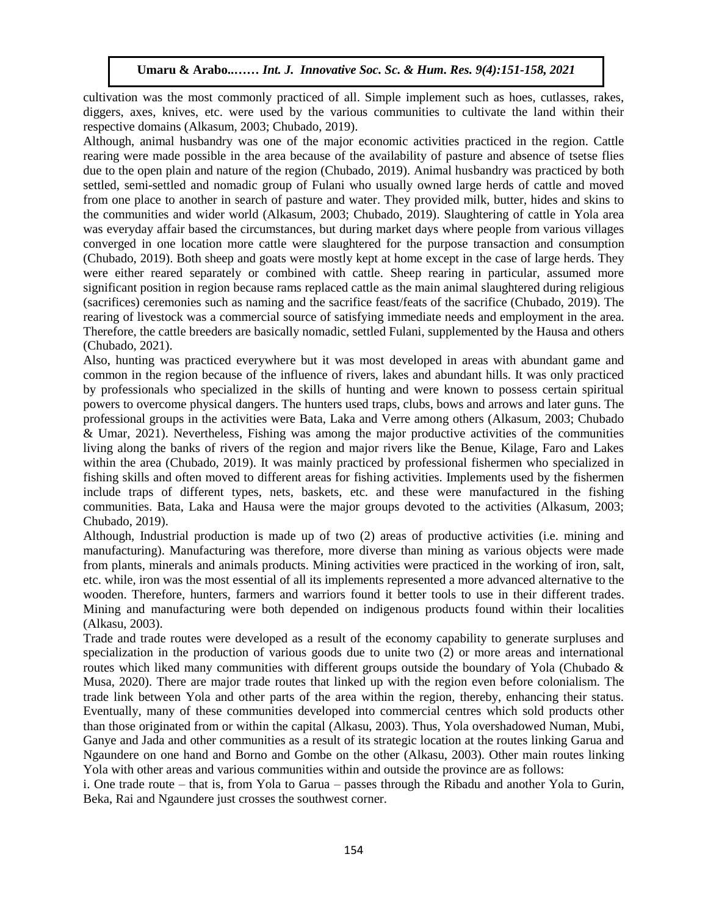cultivation was the most commonly practiced of all. Simple implement such as hoes, cutlasses, rakes, diggers, axes, knives, etc. were used by the various communities to cultivate the land within their respective domains (Alkasum, 2003; Chubado, 2019).

Although, animal husbandry was one of the major economic activities practiced in the region. Cattle rearing were made possible in the area because of the availability of pasture and absence of tsetse flies due to the open plain and nature of the region (Chubado, 2019). Animal husbandry was practiced by both settled, semi-settled and nomadic group of Fulani who usually owned large herds of cattle and moved from one place to another in search of pasture and water. They provided milk, butter, hides and skins to the communities and wider world (Alkasum, 2003; Chubado, 2019). Slaughtering of cattle in Yola area was everyday affair based the circumstances, but during market days where people from various villages converged in one location more cattle were slaughtered for the purpose transaction and consumption (Chubado, 2019). Both sheep and goats were mostly kept at home except in the case of large herds. They were either reared separately or combined with cattle. Sheep rearing in particular, assumed more significant position in region because rams replaced cattle as the main animal slaughtered during religious (sacrifices) ceremonies such as naming and the sacrifice feast/feats of the sacrifice (Chubado, 2019). The rearing of livestock was a commercial source of satisfying immediate needs and employment in the area. Therefore, the cattle breeders are basically nomadic, settled Fulani, supplemented by the Hausa and others (Chubado, 2021).  $\alpha$ do, 2021).

Also, hunting was practiced everywhere but it was most developed in areas with abundant game and common in the region because of the influence of rivers, lakes and abundant hills. It was only practiced by professionals who specialized in the skills of hunting and were known to possess certain spiritual powers to overcome physical dangers. The hunters used traps, clubs, bows and arrows and later guns. The professional groups in the activities were Bata, Laka and Verre among others (Alkasum, 2003; Chubado & Umar, 2021). Nevertheless, Fishing was among the major productive activities of the communities living along the banks of rivers of the region and major rivers like the Benue, Kilage, Faro and Lakes within the area (Chubado, 2019). It was mainly practiced by professional fishermen who specialized in fishing skills and often moved to different areas for fishing activities. Implements used by the fishermen include traps of different types, nets, baskets, etc. and these were manufactured in the fishing communities. Bata, Laka and Hausa were the major groups devoted to the activities (Alkasum, 2003; Chubado, 2019).

Although, Industrial production is made up of two (2) areas of productive activities (i.e. mining and manufacturing). Manufacturing was therefore, more diverse than mining as various objects were made from plants, minerals and animals products. Mining activities were practiced in the working of iron, salt, etc. while, iron was the most essential of all its implements represented a more advanced alternative to the wooden. Therefore, hunters, farmers and warriors found it better tools to use in their different trades. Mining and manufacturing were both depended on indigenous products found within their localities (Alkasu, 2003).

Trade and trade routes were developed as a result of the economy capability to generate surpluses and specialization in the production of various goods due to unite two (2) or more areas and international routes which liked many communities with different groups outside the boundary of Yola (Chubado  $\&$ Musa, 2020). There are major trade routes that linked up with the region even before colonialism. The trade link between Yola and other parts of the area within the region, thereby, enhancing their status. Eventually, many of these communities developed into commercial centres which sold products other than those originated from or within the capital (Alkasu, 2003). Thus, Yola overshadowed Numan, Mubi, Ganye and Jada and other communities as a result of its strategic location at the routes linking Garua and Ngaundere on one hand and Borno and Gombe on the other (Alkasu, 2003). Other main routes linking Yola with other areas and various communities within and outside the province are as follows:

i. One trade route – that is, from Yola to Garua – passes through the Ribadu and another Yola to Gurin, Beka, Rai and Ngaundere just crosses the southwest corner.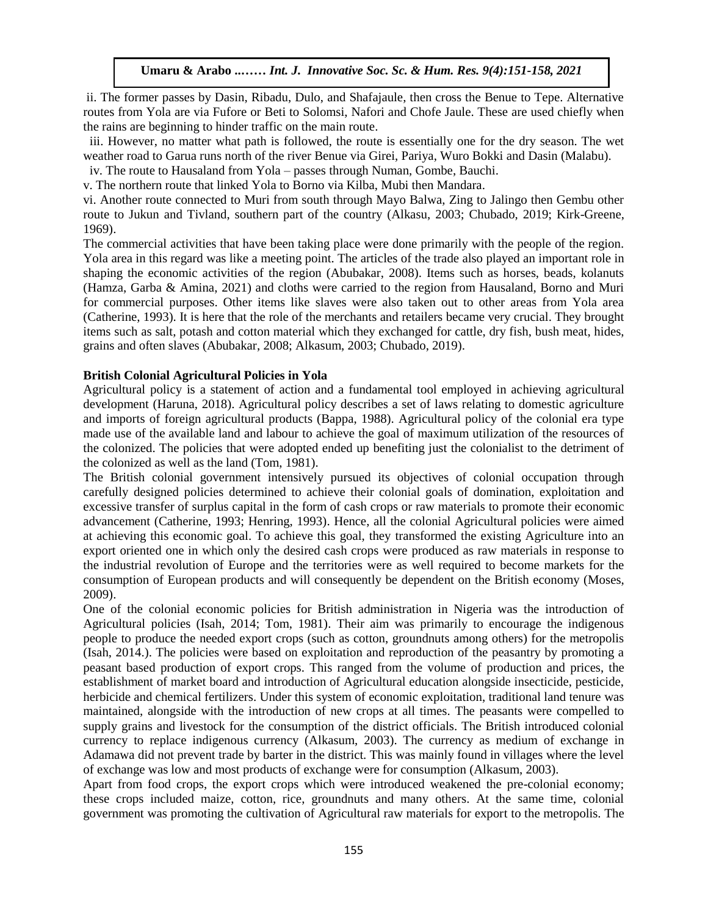ii. The former passes by Dasin, Ribadu, Dulo, and Shafajaule, then cross the Benue to Tepe. Alternative routes from Yola are via Fufore or Beti to Solomsi, Nafori and Chofe Jaule. These are used chiefly when the rains are beginning to hinder traffic on the main route.

 iii. However, no matter what path is followed, the route is essentially one for the dry season. The wet weather road to Garua runs north of the river Benue via Girei, Pariya, Wuro Bokki and Dasin (Malabu).

iv. The route to Hausaland from Yola – passes through Numan, Gombe, Bauchi.

v. The northern route that linked Yola to Borno via Kilba, Mubi then Mandara.

vi. Another route connected to Muri from south through Mayo Balwa, Zing to Jalingo then Gembu other route to Jukun and Tivland, southern part of the country (Alkasu, 2003; Chubado, 2019; Kirk-Greene, 1969). Arugu & Wosu …… Int. J. Innovative Soc. Sc. & Hum. Res. 8(1):1-11, 2020

The commercial activities that have been taking place were done primarily with the people of the region. Yola area in this regard was like a meeting point. The articles of the trade also played an important role in shaping the economic activities of the region (Abubakar, 2008). Items such as horses, beads, kolanuts (Hamza, Garba & Amina, 2021) and cloths were carried to the region from Hausaland, Borno and Muri for commercial purposes. Other items like slaves were also taken out to other areas from Yola area (Catherine, 1993). It is here that the role of the merchants and retailers became very crucial. They brought items such as salt, potash and cotton material which they exchanged for cattle, dry fish, bush meat, hides, grains and often slaves (Abubakar, 2008; Alkasum, 2003; Chubado, 2019).

#### **British Colonial Agricultural Policies in Yola**

Agricultural policy is a statement of action and a fundamental tool employed in achieving agricultural development (Haruna, 2018). Agricultural policy describes a set of laws relating to domestic agriculture and imports of foreign agricultural products (Bappa, 1988). Agricultural policy of the colonial era type made use of the available land and labour to achieve the goal of maximum utilization of the resources of the colonized. The policies that were adopted ended up benefiting just the colonialist to the detriment of the colonized as well as the land (Tom, 1981).

the colonized as well as the land (10m, 1981).<br>The British colonial government intensively pursued its objectives of colonial occupation through carefully designed policies determined to achieve their colonial goals of domination, exploitation and excessive transfer of surplus capital in the form of cash crops or raw materials to promote their economic advancement (Catherine, 1993; Henring, 1993). Hence, all the colonial Agricultural policies were aimed at achieving this economic goal. To achieve this goal, they transformed the existing Agriculture into an export oriented one in which only the desired cash crops were produced as raw materials in response to the industrial revolution of Europe and the territories were as well required to become markets for the consumption of European products and will consequently be dependent on the British economy (Moses, 2009).

One of the colonial economic policies for British administration in Nigeria was the introduction of Agricultural policies (Isah, 2014; Tom, 1981). Their aim was primarily to encourage the indigenous people to produce the needed export crops (such as cotton, groundnuts among others) for the metropolis (Isah, 2014.). The policies were based on exploitation and reproduction of the peasantry by promoting a peasant based production of export crops. This ranged from the volume of production and prices, the establishment of market board and introduction of Agricultural education alongside insecticide, pesticide, herbicide and chemical fertilizers. Under this system of economic exploitation, traditional land tenure was maintained, alongside with the introduction of new crops at all times. The peasants were compelled to supply grains and livestock for the consumption of the district officials. The British introduced colonial currency to replace indigenous currency (Alkasum, 2003). The currency as medium of exchange in Adamawa did not prevent trade by barter in the district. This was mainly found in villages where the level of exchange was low and most products of exchange were for consumption (Alkasum, 2003).

Apart from food crops, the export crops which were introduced weakened the pre-colonial economy; these crops included maize, cotton, rice, groundnuts and many others. At the same time, colonial government was promoting the cultivation of Agricultural raw materials for export to the metropolis. The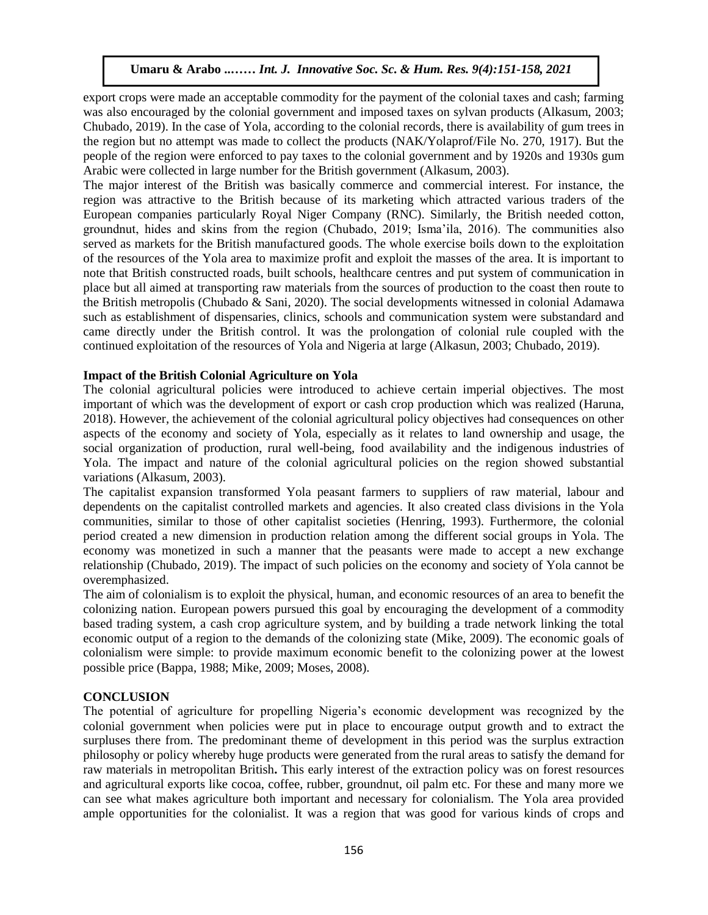export crops were made an acceptable commodity for the payment of the colonial taxes and cash; farming was also encouraged by the colonial government and imposed taxes on sylvan products (Alkasum, 2003; Chubado, 2019). In the case of Yola, according to the colonial records, there is availability of gum trees in the region but no attempt was made to collect the products (NAK/Yolaprof/File No. 270, 1917). But the people of the region were enforced to pay taxes to the colonial government and by 1920s and 1930s gum Arabic were collected in large number for the British government (Alkasum, 2003).

The major interest of the British was basically commerce and commercial interest. For instance, the region was attractive to the British because of its marketing which attracted various traders of the European companies particularly Royal Niger Company (RNC). Similarly, the British needed cotton, groundnut, hides and skins from the region (Chubado, 2019; Isma'ila, 2016). The communities also served as markets for the British manufactured goods. The whole exercise boils down to the exploitation of the resources of the Yola area to maximize profit and exploit the masses of the area. It is important to note that British constructed roads, built schools, healthcare centres and put system of communication in place but all aimed at transporting raw materials from the sources of production to the coast then route to the British metropolis (Chubado & Sani, 2020). The social developments witnessed in colonial Adamawa such as establishment of dispensaries, clinics, schools and communication system were substandard and came directly under the British control. It was the prolongation of colonial rule coupled with the continued exploitation of the resources of Yola and Nigeria at large (Alkasun, 2003; Chubado, 2019).

#### **Impact of the British Colonial Agriculture on Yola**

The colonial agricultural policies were introduced to achieve certain imperial objectives. The most important of which was the development of export or cash crop production which was realized (Haruna, 2018). However, the achievement of the colonial agricultural policy objectives had consequences on other aspects of the economy and society of Yola, especially as it relates to land ownership and usage, the social organization of production, rural well-being, food availability and the indigenous industries of Yola. The impact and nature of the colonial agricultural policies on the region showed substantial variations (Alkasum, 2003).

The capitalist expansion transformed Yola peasant farmers to suppliers of raw material, labour and dependents on the capitalist controlled markets and agencies. It also created class divisions in the Yola communities, similar to those of other capitalist societies (Henring, 1993). Furthermore, the colonial period created a new dimension in production relation among the different social groups in Yola. The economy was monetized in such a manner that the peasants were made to accept a new exchange relationship (Chubado, 2019). The impact of such policies on the economy and society of Yola cannot be overemphasized.

The aim of colonialism is to exploit the physical, human, and economic resources of an area to benefit the colonizing nation. European powers pursued this goal by encouraging the development of a commodity based trading system, a cash crop agriculture system, and by building a trade network linking the total economic output of a region to the demands of the colonizing state (Mike, 2009). The economic goals of colonialism were simple: to provide maximum economic benefit to the colonizing power at the lowest possible price (Bappa, 1988; Mike, 2009; Moses, 2008).

## **CONCLUSION**

The potential of agriculture for propelling Nigeria's economic development was recognized by the colonial government when policies were put in place to encourage output growth and to extract the surpluses there from. The predominant theme of development in this period was the surplus extraction philosophy or policy whereby huge products were generated from the rural areas to satisfy the demand for raw materials in metropolitan British**.** This early interest of the extraction policy was on forest resources and agricultural exports like cocoa, coffee, rubber, groundnut, oil palm etc. For these and many more we can see what makes agriculture both important and necessary for colonialism. The Yola area provided ample opportunities for the colonialist. It was a region that was good for various kinds of crops and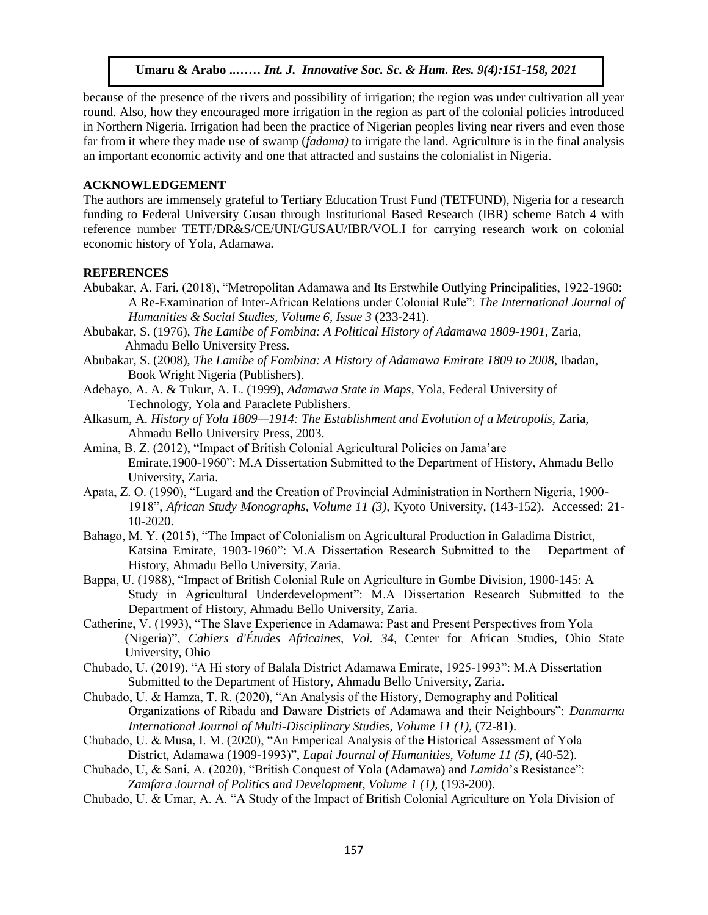because of the presence of the rivers and possibility of irrigation; the region was under cultivation all year round. Also, how they encouraged more irrigation in the region as part of the colonial policies introduced in Northern Nigeria. Irrigation had been the practice of Nigerian peoples living near rivers and even those far from it where they made use of swamp (*fadama)* to irrigate the land. Agriculture is in the final analysis an important economic activity and one that attracted and sustains the colonialist in Nigeria.

## **ACKNOWLEDGEMENT**

The authors are immensely grateful to Tertiary Education Trust Fund (TETFUND), Nigeria for a research funding to Federal University Gusau through Institutional Based Research (IBR) scheme Batch 4 with reference number TETF/DR&S/CE/UNI/GUSAU/IBR/VOL.I for carrying research work on colonial economic history of Yola, Adamawa.

## **REFERENCES**

- Abubakar, A. Fari, (2018), "Metropolitan Adamawa and Its Erstwhile Outlying Principalities, 1922-1960: A Re-Examination of Inter-African Relations under Colonial Rule": *The International Journal of Humanities & Social Studies, Volume 6, Issue 3* (233-241).
- Abubakar, S. (1976), *The Lamibe of Fombina: A Political History of Adamawa 1809-1901,* Zaria, Ahmadu Bello University Press.<br>
and Muslim Soc. Sc. 8(1):1-11, 2020
- Abubakar, S. (2008), *The Lamibe of Fombina: A History of Adamawa Emirate 1809 to 2008*, Ibadan, Book Wright Nigeria (Publishers).
- Adebayo, A. A. & Tukur, A. L. (1999), *Adamawa State in Maps,* Yola, Federal University of Technology, Yola and Paraclete Publishers.
- Alkasum, A. *History of Yola 1809—1914: The Establishment and Evolution of a Metropolis,* Zaria, Ahmadu Bello University Press, 2003.
- Amina, B. Z. (2012), "Impact of British Colonial Agricultural Policies on Jama'are Emirate,1900-1960": M.A Dissertation Submitted to the Department of History, Ahmadu Bello University, Zaria.
- Apata, Z. O. (1990), "Lugard and the Creation of Provincial Administration in Northern Nigeria, 1900- 1918", *African Study Monographs, Volume 11 (3),* Kyoto University, (143-152). Accessed: 21- 10-2020.
- Bahago, M. Y. (2015), "The Impact of Colonialism on Agricultural Production in Galadima District, Katsina Emirate, 1903-1960": M.A Dissertation Research Submitted to the Department of History, Ahmadu Bello University, Zaria.
- Bappa, U. (1988), "Impact of British Colonial Rule on Agriculture in Gombe Division, 1900-145: A Study in Agricultural Underdevelopment": M.A Dissertation Research Submitted to the Department of History, Ahmadu Bello University, Zaria.
- Catherine, V. (1993), "The Slave Experience in Adamawa: Past and Present Perspectives from Yola (Nigeria)", *Cahiers d'Études Africaines, Vol. 34,* Center for African Studies, Ohio State University, Ohio
- Chubado, U. (2019), "A Hi story of Balala District Adamawa Emirate, 1925-1993": M.A Dissertation Submitted to the Department of History, Ahmadu Bello University, Zaria.
- Chubado, U. & Hamza, T. R. (2020), "An Analysis of the History, Demography and Political Organizations of Ribadu and Daware Districts of Adamawa and their Neighbours": *Danmarna International Journal of Multi-Disciplinary Studies, Volume 11 (1)*, (72-81).
- Chubado, U. & Musa, I. M. (2020), "An Emperical Analysis of the Historical Assessment of Yola District, Adamawa (1909-1993)", *Lapai Journal of Humanities, Volume 11 (5),* (40-52).

Chubado, U, & Sani, A. (2020), "British Conquest of Yola (Adamawa) and *Lamido*'s Resistance": *Zamfara Journal of Politics and Development, Volume 1 (1),* (193-200).

Chubado, U. & Umar, A. A. "A Study of the Impact of British Colonial Agriculture on Yola Division of